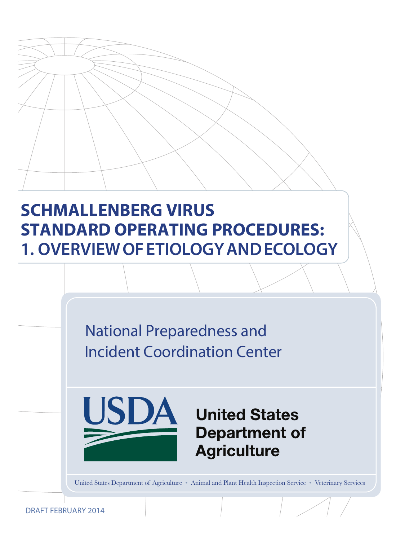# **SCHMALLENBERG VIRUS STANDARD OPERATING PROCEDURES: 1. OVERVIEW OF ETIOLOGY AND ECOLOGY**

National Preparedness and Incident Coordination Center



# **United States Department of Agriculture**

United States Department of Agriculture • Animal and Plant Health Inspection Service • Veterinary Services

DRAFT FEBRUARY 2014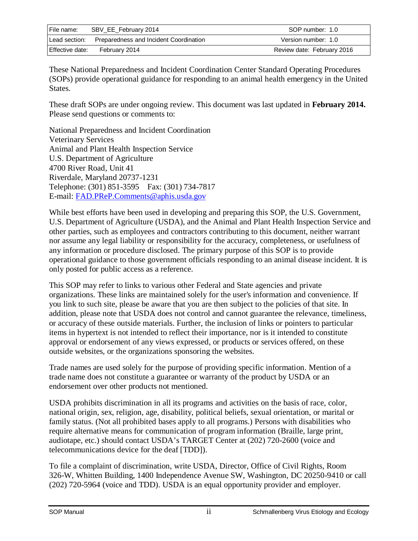| File name:      | SBV_EE_February 2014                                 | SOP number: 1.0            |
|-----------------|------------------------------------------------------|----------------------------|
|                 | Lead section: Preparedness and Incident Coordination | Version number: 1.0        |
| Effective date: | February 2014                                        | Review date: February 2016 |

These National Preparedness and Incident Coordination Center Standard Operating Procedures (SOPs) provide operational guidance for responding to an animal health emergency in the United States.

These draft SOPs are under ongoing review. This document was last updated in **February 2014.**  Please send questions or comments to:

National Preparedness and Incident Coordination Veterinary Services Animal and Plant Health Inspection Service U.S. Department of Agriculture 4700 River Road, Unit 41 Riverdale, Maryland 20737-1231 Telephone: (301) 851-3595 Fax: (301) 734-7817 E-mail: [FAD.PReP.Comments@aphis.usda.gov](mailto:FAD.PReP.Comments@aphis.usda.gov)

While best efforts have been used in developing and preparing this SOP, the U.S. Government, U.S. Department of Agriculture (USDA), and the Animal and Plant Health Inspection Service and other parties, such as employees and contractors contributing to this document, neither warrant nor assume any legal liability or responsibility for the accuracy, completeness, or usefulness of any information or procedure disclosed. The primary purpose of this SOP is to provide operational guidance to those government officials responding to an animal disease incident. It is only posted for public access as a reference.

This SOP may refer to links to various other Federal and State agencies and private organizations. These links are maintained solely for the user's information and convenience. If you link to such site, please be aware that you are then subject to the policies of that site. In addition, please note that USDA does not control and cannot guarantee the relevance, timeliness, or accuracy of these outside materials. Further, the inclusion of links or pointers to particular items in hypertext is not intended to reflect their importance, nor is it intended to constitute approval or endorsement of any views expressed, or products or services offered, on these outside websites, or the organizations sponsoring the websites.

Trade names are used solely for the purpose of providing specific information. Mention of a trade name does not constitute a guarantee or warranty of the product by USDA or an endorsement over other products not mentioned.

USDA prohibits discrimination in all its programs and activities on the basis of race, color, national origin, sex, religion, age, disability, political beliefs, sexual orientation, or marital or family status. (Not all prohibited bases apply to all programs.) Persons with disabilities who require alternative means for communication of program information (Braille, large print, audiotape, etc.) should contact USDA's TARGET Center at (202) 720-2600 (voice and telecommunications device for the deaf [TDD]).

To file a complaint of discrimination, write USDA, Director, Office of Civil Rights, Room 326-W, Whitten Building, 1400 Independence Avenue SW, Washington, DC 20250-9410 or call (202) 720-5964 (voice and TDD). USDA is an equal opportunity provider and employer.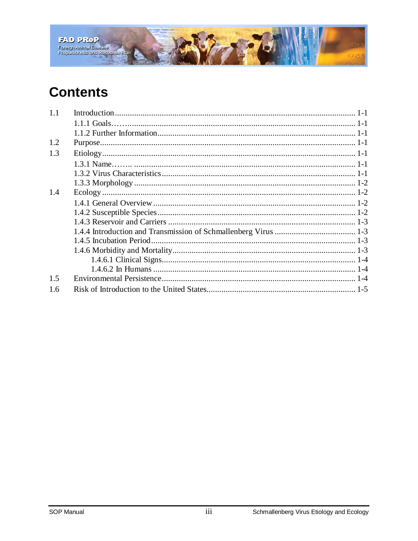

## **Contents**

| 1.1 |  |
|-----|--|
|     |  |
|     |  |
| 1.2 |  |
| 1.3 |  |
|     |  |
|     |  |
|     |  |
| 1.4 |  |
|     |  |
|     |  |
|     |  |
|     |  |
|     |  |
|     |  |
|     |  |
|     |  |
| 1.5 |  |
| 1.6 |  |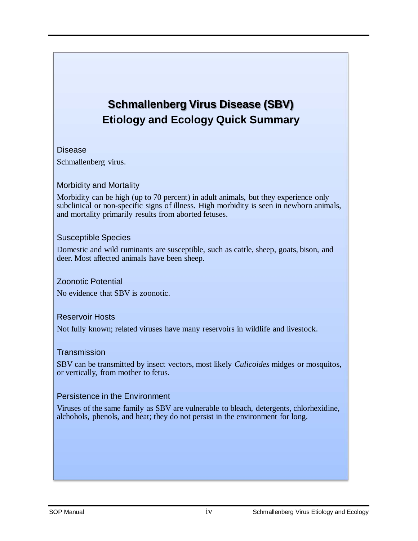## **Schmallenberg Virus Disease (SBV) Etiology and Ecology Quick Summary**

#### Disease

Schmallenberg virus.

#### Morbidity and Mortality

Morbidity can be high (up to 70 percent) in adult animals, but they experience only subclinical or non-specific signs of illness. High morbidity is seen in newborn animals, and mortality primarily results from aborted fetuses.

#### Susceptible Species

Domestic and wild ruminants are susceptible, such as cattle, sheep, goats, bison, and deer. Most affected animals have been sheep.

#### Zoonotic Potential

No evidence that SBV is zoonotic.

#### Reservoir Hosts

Not fully known; related viruses have many reservoirs in wildlife and livestock.

#### **Transmission**

SBV can be transmitted by insect vectors, most likely *Culicoides* midges or mosquitos, or vertically, from mother to fetus.

#### Persistence in the Environment

Viruses of the same family as SBV are vulnerable to bleach, detergents, chlorhexidine, alchohols, phenols, and heat; they do not persist in the environment for long.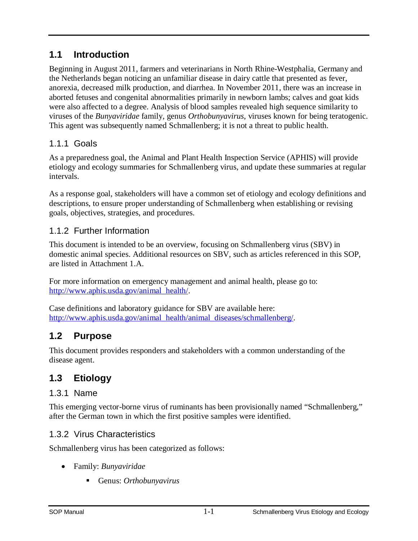### <span id="page-4-0"></span>**1.1 Introduction**

Beginning in August 2011, farmers and veterinarians in North Rhine-Westphalia, Germany and the Netherlands began noticing an unfamiliar disease in dairy cattle that presented as fever, anorexia, decreased milk production, and diarrhea. In November 2011, there was an increase in aborted fetuses and congenital abnormalities primarily in newborn lambs; calves and goat kids were also affected to a degree. Analysis of blood samples revealed high sequence similarity to viruses of the *Bunyaviridae* family, genus *Orthobunyavirus*, viruses known for being teratogenic. This agent was subsequently named Schmallenberg; it is not a threat to public health.

#### <span id="page-4-1"></span>1.1.1 Goals

As a preparedness goal, the Animal and Plant Health Inspection Service (APHIS) will provide etiology and ecology summaries for Schmallenberg virus, and update these summaries at regular intervals.

As a response goal, stakeholders will have a common set of etiology and ecology definitions and descriptions, to ensure proper understanding of Schmallenberg when establishing or revising goals, objectives, strategies, and procedures.

#### <span id="page-4-2"></span>1.1.2 Further Information

This document is intended to be an overview, focusing on Schmallenberg virus (SBV) in domestic animal species. Additional resources on SBV, such as articles referenced in this SOP, are listed in Attachment 1.A.

For more information on emergency management and animal health, please go to: [http://www.aphis.usda.gov/animal\\_health/.](http://www.aphis.usda.gov/animal_health/)

Case definitions and laboratory guidance for SBV are available here: [http://www.aphis.usda.gov/animal\\_health/animal\\_diseases/schmallenberg/.](http://www.aphis.usda.gov/animal_health/animal_diseases/schmallenberg/) 

## <span id="page-4-3"></span>**1.2 Purpose**

This document provides responders and stakeholders with a common understanding of the disease agent.

## <span id="page-4-4"></span>**1.3 Etiology**

#### <span id="page-4-5"></span>1.3.1 Name

This emerging vector-borne virus of ruminants has been provisionally named "Schmallenberg," after the German town in which the first positive samples were identified.

#### <span id="page-4-6"></span>1.3.2 Virus Characteristics

Schmallenberg virus has been categorized as follows:

- Family: *Bunyaviridae*
	- Genus: *Orthobunyavirus*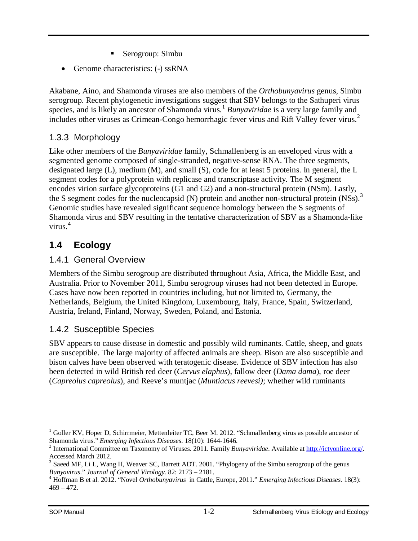- Serogroup: Simbu
- Genome characteristics: (-) ssRNA

Akabane, Aino, and Shamonda viruses are also members of the *Orthobunyavirus* genus, Simbu serogroup. Recent phylogenetic investigations suggest that SBV belongs to the Sathuperi virus species, and is likely an ancestor of Shamonda virus.<sup>[1](#page-5-4)</sup> *Bunyaviridae* is a very large family and includes other viruses as Crimean-Congo hemorrhagic fever virus and Rift Valley fever virus.<sup>[2](#page-5-5)</sup>

#### <span id="page-5-0"></span>1.3.3 Morphology

Like other members of the *Bunyaviridae* family, Schmallenberg is an enveloped virus with a segmented genome composed of single-stranded, negative-sense RNA. The three segments, designated large (L), medium (M), and small (S), code for at least 5 proteins. In general, the L segment codes for a polyprotein with replicase and transcriptase activity. The M segment encodes virion surface glycoproteins (G1 and G2) and a non-structural protein (NSm). Lastly, the S segment codes for the nucleocapsid  $(N)$  protein and another non-structural protein  $(NSS)$ .<sup>[3](#page-5-6)</sup> Genomic studies have revealed significant sequence homology between the S segments of Shamonda virus and SBV resulting in the tentative characterization of SBV as a Shamonda-like virus. $4$ 

## <span id="page-5-1"></span>**1.4 Ecology**

#### <span id="page-5-2"></span>1.4.1 General Overview

Members of the Simbu serogroup are distributed throughout Asia, Africa, the Middle East, and Australia. Prior to November 2011, Simbu serogroup viruses had not been detected in Europe. Cases have now been reported in countries including, but not limited to, Germany, the Netherlands, Belgium, the United Kingdom, Luxembourg, Italy, France, Spain, Switzerland, Austria, Ireland, Finland, Norway, Sweden, Poland, and Estonia.

### <span id="page-5-3"></span>1.4.2 Susceptible Species

SBV appears to cause disease in domestic and possibly wild ruminants. Cattle, sheep, and goats are susceptible. The large majority of affected animals are sheep. Bison are also susceptible and bison calves have been observed with teratogenic disease. Evidence of SBV infection has also been detected in wild British red deer (*Cervus elaphus*), fallow deer (*Dama dama*), roe deer (*Capreolus capreolus*), and Reeve's muntjac (*Muntiacus reevesi)*; whether wild ruminants

<span id="page-5-4"></span> $1$  Goller KV, Hoper D, Schirrmeier, Mettenleiter TC, Beer M. 2012. "Schmallenberg virus as possible ancestor of Shamonda virus." *Emerging Infectious Diseases*. 18(10): 1644-1646. <sup>2</sup> International Committee on Taxonomy of Viruses. 2011. Family *Bunyaviridae*. Available at [http://ictvonline.org/.](http://ictvonline.org/)   $\overline{a}$ 

<span id="page-5-5"></span>Accessed March 2012.

<span id="page-5-6"></span><sup>&</sup>lt;sup>3</sup> Saeed MF, Li L, Wang H, Weaver SC, Barrett ADT. 2001. "Phylogeny of the Simbu serogroup of the genus

<span id="page-5-7"></span>*Bunyavirus*." *Journal of General Virology.* 82: 2173 – 2181. 4 Hoffman B et al. 2012. "Novel *Orthobunyavirus* in Cattle, Europe, 2011." *Emerging Infectious Diseases.* 18(3):  $469 - 472.$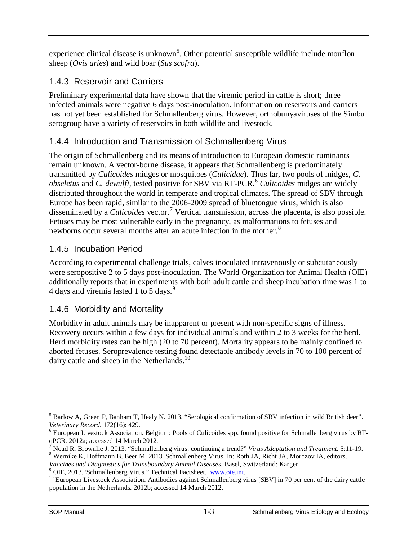experience clinical disease is unknown<sup>[5](#page-6-4)</sup>. Other potential susceptible wildlife include mouflon sheep (*Ovis aries*) and wild boar (*Sus scofra*).

### <span id="page-6-0"></span>1.4.3 Reservoir and Carriers

Preliminary experimental data have shown that the viremic period in cattle is short; three infected animals were negative 6 days post-inoculation. Information on reservoirs and carriers has not yet been established for Schmallenberg virus. However, orthobunyaviruses of the Simbu serogroup have a variety of reservoirs in both wildlife and livestock.

### <span id="page-6-1"></span>1.4.4 Introduction and Transmission of Schmallenberg Virus

The origin of Schmallenberg and its means of introduction to European domestic ruminants remain unknown. A vector-borne disease, it appears that Schmallenberg is predominately transmitted by *Culicoides* midges or mosquitoes (*Culicidae*). Thus far, two pools of midges, *C. obseletus* and *C. dewulfi,* tested positive for SBV via RT-PCR.[6](#page-6-5) *Culicoides* midges are widely distributed throughout the world in temperate and tropical climates. The spread of SBV through Europe has been rapid, similar to the 2006-2009 spread of bluetongue virus, which is also disseminated by a *Culicoides* vector.[7](#page-6-6) Vertical transmission, across the placenta, is also possible. Fetuses may be most vulnerable early in the pregnancy, as malformations to fetuses and newborns occur several months after an acute infection in the mother.<sup>[8](#page-6-7)</sup>

### <span id="page-6-2"></span>1.4.5 Incubation Period

According to experimental challenge trials, calves inoculated intravenously or subcutaneously were seropositive 2 to 5 days post-inoculation. The World Organization for Animal Health (OIE) additionally reports that in experiments with both adult cattle and sheep incubation time was 1 to 4 days and viremia lasted 1 to 5 days.<sup>[9](#page-6-8)</sup>

### <span id="page-6-3"></span>1.4.6 Morbidity and Mortality

Morbidity in adult animals may be inapparent or present with non-specific signs of illness. Recovery occurs within a few days for individual animals and within 2 to 3 weeks for the herd. Herd morbidity rates can be high (20 to 70 percent). Mortality appears to be mainly confined to aborted fetuses. Seroprevalence testing found detectable antibody levels in 70 to 100 percent of dairy cattle and sheep in the Netherlands.<sup>[10](#page-6-9)</sup>

<span id="page-6-4"></span><sup>&</sup>lt;sup>5</sup> Barlow A, Green P, Banham T, Healy N. 2013. "Serological confirmation of SBV infection in wild British deer". Veterinary Record. 172(16): 429.  $\overline{a}$ 

<span id="page-6-5"></span><sup>&</sup>lt;sup>6</sup> European Livestock Association. Belgium: Pools of Culicoides spp. found positive for Schmallenberg virus by RTqPCR. 2012a; accessed 14 March 2012.<br><sup>7</sup> Noad R, Brownlie J. 2013. "Schmallenberg virus: continuing a trend?" *Virus Adaptation and Treatment.* 5:11-19.

<span id="page-6-7"></span><span id="page-6-6"></span><sup>&</sup>lt;sup>8</sup> Wernike K, Hoffmann B, Beer M. 2013. Schmallenberg Virus. In: Roth JA, Richt JA, Morozov IA, editors. Vaccines and Diagnostics for Transboundary Animal Diseases. Basel, Switzerland: Karger.

<span id="page-6-9"></span><span id="page-6-8"></span> $^{9}$  OIE, 2013. "Schmallenberg Virus." Technical Factsheet. [www.oie.int.](http://www.oie.int/)<br><sup>10</sup> European Livestock Association. Antibodies against Schmallenberg virus [SBV] in 70 per cent of the dairy cattle population in the Netherlands. 2012b; accessed 14 March 2012.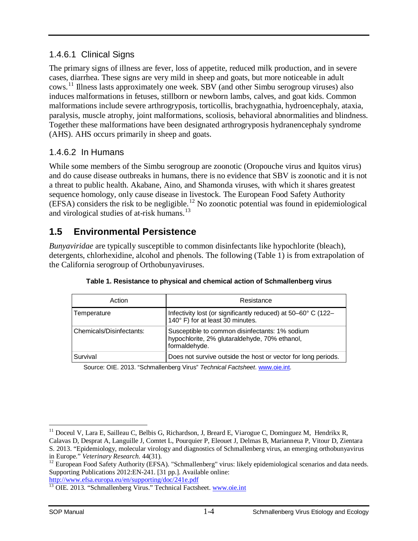#### <span id="page-7-0"></span>1.4.6.1 Clinical Signs

The primary signs of illness are fever, loss of appetite, reduced milk production, and in severe cases, diarrhea. These signs are very mild in sheep and goats, but more noticeable in adult cows.[11](#page-7-3) Illness lasts approximately one week. SBV (and other Simbu serogroup viruses) also induces malformations in fetuses, stillborn or newborn lambs, calves, and goat kids. Common malformations include severe arthrogryposis, torticollis, brachygnathia, hydroencephaly, ataxia, paralysis, muscle atrophy, joint malformations, scoliosis, behavioral abnormalities and blindness. Together these malformations have been designated arthrogryposis hydranencephaly syndrome (AHS). AHS occurs primarily in sheep and goats.

#### <span id="page-7-1"></span>1.4.6.2 In Humans

While some members of the Simbu serogroup are zoonotic (Oropouche virus and Iquitos virus) and do cause disease outbreaks in humans, there is no evidence that SBV is zoonotic and it is not a threat to public health. Akabane, Aino, and Shamonda viruses, with which it shares greatest sequence homology, only cause disease in livestock. The European Food Safety Authority  $(EFSA)$  considers the risk to be negligible.<sup>[12](#page-7-4)</sup> No zoonotic potential was found in epidemiological and virological studies of at-risk humans. [13](#page-7-5)

## <span id="page-7-2"></span>**1.5 Environmental Persistence**

*Bunyaviridae* are typically susceptible to common disinfectants like hypochlorite (bleach), detergents, chlorhexidine, alcohol and phenols. The following (Table 1) is from extrapolation of the California serogroup of Orthobunyaviruses.

| Action                   | Resistance                                                                                                       |
|--------------------------|------------------------------------------------------------------------------------------------------------------|
| Temperature              | Infectivity lost (or significantly reduced) at 50–60° C (122–<br>140° F) for at least 30 minutes.                |
| Chemicals/Disinfectants: | Susceptible to common disinfectants: 1% sodium<br>hypochlorite, 2% glutaraldehyde, 70% ethanol,<br>formaldehyde. |
| Survival                 | Does not survive outside the host or vector for long periods.                                                    |

|  |  | Table 1. Resistance to physical and chemical action of Schmallenberg virus |  |
|--|--|----------------------------------------------------------------------------|--|
|  |  |                                                                            |  |

Source: OIE. 2013. "Schmallenberg Virus" *Technical Factsheet*[. www.oie.int.](http://www.oie.int/)

 $11$  Doceul V, Lara E, Sailleau C, Belbis G, Richardson, J, Breard E, Viarogue C, Dominguez M, Hendrikx R,  $\overline{a}$ 

<span id="page-7-3"></span>Calavas D, Desprat A, Languille J, Comtet L, Pourquier P, Eleouet J, Delmas B, Marianneua P, Vitour D, Zientara S. 2013. "Epidemiology, molecular virology and diagnostics of Schmallenberg virus, an emerging orthobunyavirus in Europe." Veterinary Research. 44(31).

<span id="page-7-4"></span><sup>&</sup>lt;sup>12</sup> European Food Safety Authority (EFSA). "Schmallenberg" virus: likely epidemiological scenarios and data needs. Supporting Publications 2012:EN-241. [31 pp.]. Available online:

<span id="page-7-5"></span><http://www.efsa.europa.eu/en/supporting/doc/241e.pdf><br><sup>13</sup> OIE. 2013. "Schmallenberg Virus." Technical Factsheet. [www.oie.int](http://www.oie.int/)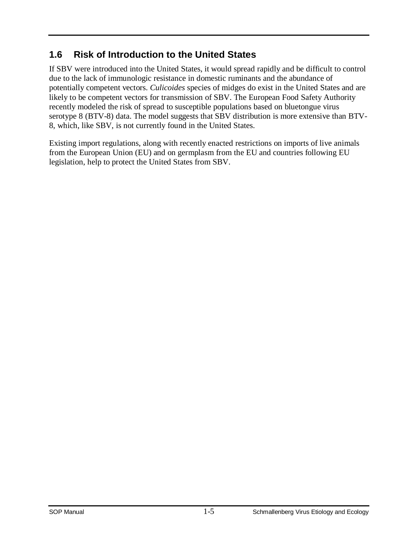### <span id="page-8-0"></span>**1.6 Risk of Introduction to the United States**

If SBV were introduced into the United States, it would spread rapidly and be difficult to control due to the lack of immunologic resistance in domestic ruminants and the abundance of potentially competent vectors. *Culicoides* species of midges do exist in the United States and are likely to be competent vectors for transmission of SBV. The European Food Safety Authority recently modeled the risk of spread to susceptible populations based on bluetongue virus serotype 8 (BTV-8) data. The model suggests that SBV distribution is more extensive than BTV-8, which, like SBV, is not currently found in the United States.

Existing import regulations, along with recently enacted restrictions on imports of live animals from the European Union (EU) and on germplasm from the EU and countries following EU legislation, help to protect the United States from SBV.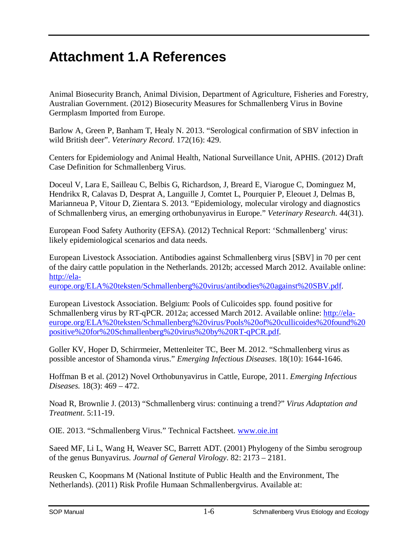## **Attachment 1.A References**

Animal Biosecurity Branch, Animal Division, Department of Agriculture, Fisheries and Forestry, Australian Government. (2012) Biosecurity Measures for Schmallenberg Virus in Bovine Germplasm Imported from Europe.

Barlow A, Green P, Banham T, Healy N. 2013. "Serological confirmation of SBV infection in wild British deer". *Veterinary Record*. 172(16): 429.

Centers for Epidemiology and Animal Health, National Surveillance Unit, APHIS. (2012) Draft Case Definition for Schmallenberg Virus.

Doceul V, Lara E, Sailleau C, Belbis G, Richardson, J, Breard E, Viarogue C, Dominguez M, Hendrikx R, Calavas D, Desprat A, Languille J, Comtet L, Pourquier P, Eleouet J, Delmas B, Marianneua P, Vitour D, Zientara S. 2013. "Epidemiology, molecular virology and diagnostics of Schmallenberg virus, an emerging orthobunyavirus in Europe." *Veterinary Research*. 44(31).

European Food Safety Authority (EFSA). (2012) Technical Report: 'Schmallenberg' virus: likely epidemiological scenarios and data needs.

European Livestock Association. Antibodies against Schmallenberg virus [SBV] in 70 per cent of the dairy cattle population in the Netherlands. 2012b; accessed March 2012. Available online: [http://ela-](http://ela-europe.org/ELA%20teksten/Schmallenberg%20virus/antibodies%20against%20SBV.pdf)

[europe.org/ELA%20teksten/Schmallenberg%20virus/antibodies%20against%20SBV.pdf.](http://ela-europe.org/ELA%20teksten/Schmallenberg%20virus/antibodies%20against%20SBV.pdf)

European Livestock Association. Belgium: Pools of Culicoides spp. found positive for Schmallenberg virus by RT-qPCR. 2012a; accessed March 2012. Available online: [http://ela](http://ela-europe.org/ELA%20teksten/Schmallenberg%20virus/Pools%20of%20cullicoides%20found%20positive%20for%20Schmallenberg%20virus%20by%20RT-qPCR.pdf)[europe.org/ELA%20teksten/Schmallenberg%20virus/Pools%20of%20cullicoides%20found%20](http://ela-europe.org/ELA%20teksten/Schmallenberg%20virus/Pools%20of%20cullicoides%20found%20positive%20for%20Schmallenberg%20virus%20by%20RT-qPCR.pdf) [positive%20for%20Schmallenberg%20virus%20by%20RT-qPCR.pdf.](http://ela-europe.org/ELA%20teksten/Schmallenberg%20virus/Pools%20of%20cullicoides%20found%20positive%20for%20Schmallenberg%20virus%20by%20RT-qPCR.pdf)

Goller KV, Hoper D, Schirrmeier, Mettenleiter TC, Beer M. 2012. "Schmallenberg virus as possible ancestor of Shamonda virus." *Emerging Infectious Diseases*. 18(10): 1644-1646.

Hoffman B et al. (2012) Novel Orthobunyavirus in Cattle, Europe, 2011. *Emerging Infectious Diseases.* 18(3): 469 – 472.

Noad R, Brownlie J. (2013) "Schmallenberg virus: continuing a trend?" *Virus Adaptation and Treatment*. 5:11-19.

OIE. 2013. "Schmallenberg Virus." Technical Factsheet. [www.oie.int](http://www.oie.int/)

Saeed MF, Li L, Wang H, Weaver SC, Barrett ADT. (2001) Phylogeny of the Simbu serogroup of the genus Bunyavirus. *Journal of General Virology*. 82: 2173 – 2181.

Reusken C, Koopmans M (National Institute of Public Health and the Environment, The Netherlands). (2011) Risk Profile Humaan Schmallenbergvirus. Available at: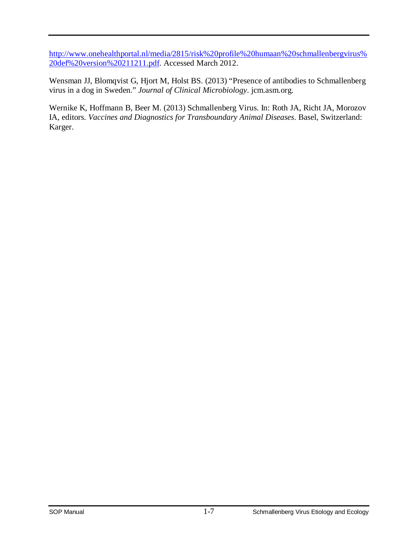[http://www.onehealthportal.nl/media/2815/risk%20profile%20humaan%20schmallenbergvirus%](http://www.onehealthportal.nl/media/2815/risk%20profile%20humaan%20schmallenbergvirus%20def%20version%20211211.pdf) [20def%20version%20211211.pdf.](http://www.onehealthportal.nl/media/2815/risk%20profile%20humaan%20schmallenbergvirus%20def%20version%20211211.pdf) Accessed March 2012.

Wensman JJ, Blomqvist G, Hjort M, Holst BS. (2013) "Presence of antibodies to Schmallenberg virus in a dog in Sweden." *Journal of Clinical Microbiology*. jcm.asm.org.

Wernike K, Hoffmann B, Beer M. (2013) Schmallenberg Virus. In: Roth JA, Richt JA, Morozov IA, editors. *Vaccines and Diagnostics for Transboundary Animal Diseases*. Basel, Switzerland: Karger.